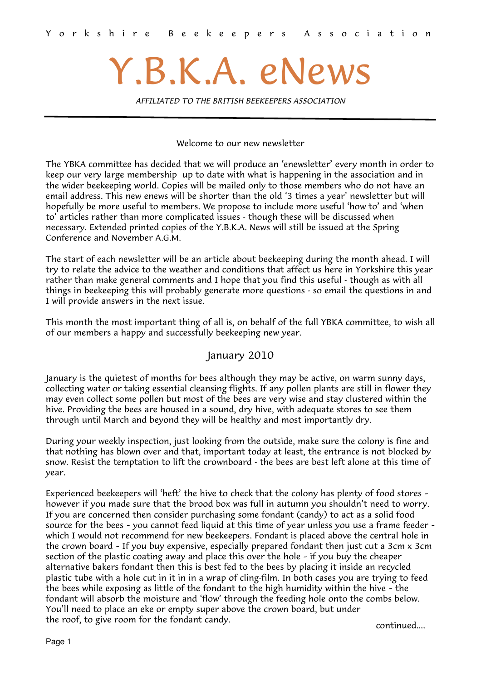# Y.B.K.A. eNews

*AFFILIATED TO THE BRITISH BEEKEEPERS ASSOCIATION*

Welcome to our new newsletter

The YBKA committee has decided that we will produce an 'enewsletter' every month in order to keep our very large membership up to date with what is happening in the association and in the wider beekeeping world. Copies will be mailed only to those members who do not have an email address. This new enews will be shorter than the old '3 times a year' newsletter but will hopefully be more useful to members. We propose to include more useful 'how to' and 'when to' articles rather than more complicated issues - though these will be discussed when necessary. Extended printed copies of the Y.B.K.A. News will still be issued at the Spring Conference and November A.G.M.

The start of each newsletter will be an article about beekeeping during the month ahead. I will try to relate the advice to the weather and conditions that affect us here in Yorkshire this year rather than make general comments and I hope that you find this useful - though as with all things in beekeeping this will probably generate more questions - so email the questions in and I will provide answers in the next issue.

This month the most important thing of all is, on behalf of the full YBKA committee, to wish all of our members a happy and successfully beekeeping new year.

# January 2010

January is the quietest of months for bees although they may be active, on warm sunny days, collecting water or taking essential cleansing flights. If any pollen plants are still in flower they may even collect some pollen but most of the bees are very wise and stay clustered within the hive. Providing the bees are housed in a sound, dry hive, with adequate stores to see them through until March and beyond they will be healthy and most importantly dry.

During your weekly inspection, just looking from the outside, make sure the colony is fine and that nothing has blown over and that, important today at least, the entrance is not blocked by snow. Resist the temptation to lift the crownboard - the bees are best left alone at this time of year.

Experienced beekeepers will 'heft' the hive to check that the colony has plenty of food stores – however if you made sure that the brood box was full in autumn you shouldn't need to worry. If you are concerned then consider purchasing some fondant (candy) to act as a solid food source for the bees – you cannot feed liquid at this time of year unless you use a frame feeder – which I would not recommend for new beekeepers. Fondant is placed above the central hole in the crown board – If you buy expensive, especially prepared fondant then just cut a 3cm x 3cm section of the plastic coating away and place this over the hole – if you buy the cheaper alternative bakers fondant then this is best fed to the bees by placing it inside an recycled plastic tube with a hole cut in it in in a wrap of cling-film. In both cases you are trying to feed the bees while exposing as little of the fondant to the high humidity within the hive – the fondant will absorb the moisture and 'flow' through the feeding hole onto the combs below. You'll need to place an eke or empty super above the crown board, but under the roof, to give room for the fondant candy.

continued....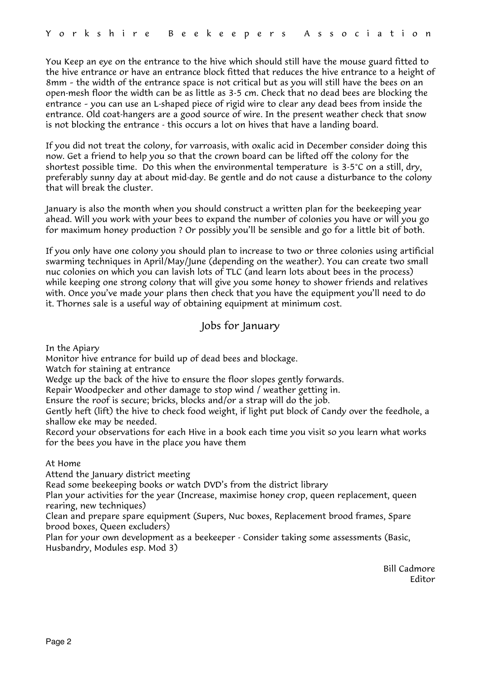You Keep an eye on the entrance to the hive which should still have the mouse guard fitted to the hive entrance or have an entrance block fitted that reduces the hive entrance to a height of 8mm – the width of the entrance space is not critical but as you will still have the bees on an open-mesh floor the width can be as little as 3-5 cm. Check that no dead bees are blocking the entrance – you can use an L-shaped piece of rigid wire to clear any dead bees from inside the entrance. Old coat-hangers are a good source of wire. In the present weather check that snow is not blocking the entrance - this occurs a lot on hives that have a landing board.

If you did not treat the colony, for varroasis, with oxalic acid in December consider doing this now. Get a friend to help you so that the crown board can be lifted off the colony for the shortest possible time. Do this when the environmental temperature is 3-5°C on a still, dry, preferably sunny day at about mid-day. Be gentle and do not cause a disturbance to the colony that will break the cluster.

January is also the month when you should construct a written plan for the beekeeping year ahead. Will you work with your bees to expand the number of colonies you have or will you go for maximum honey production ? Or possibly you'll be sensible and go for a little bit of both.

If you only have one colony you should plan to increase to two or three colonies using artificial swarming techniques in April/May/June (depending on the weather). You can create two small nuc colonies on which you can lavish lots of TLC (and learn lots about bees in the process) while keeping one strong colony that will give you some honey to shower friends and relatives with. Once you've made your plans then check that you have the equipment you'll need to do it. Thornes sale is a useful way of obtaining equipment at minimum cost.

# Jobs for January

In the Apiary

Monitor hive entrance for build up of dead bees and blockage.

Watch for staining at entrance

Wedge up the back of the hive to ensure the floor slopes gently forwards.

Repair Woodpecker and other damage to stop wind / weather getting in.

Ensure the roof is secure; bricks, blocks and/or a strap will do the job.

Gently heft (lift) the hive to check food weight, if light put block of Candy over the feedhole, a shallow eke may be needed.

Record your observations for each Hive in a book each time you visit so you learn what works for the bees you have in the place you have them

## At Home

Attend the January district meeting

Read some beekeeping books or watch DVD's from the district library

Plan your activities for the year (Increase, maximise honey crop, queen replacement, queen rearing, new techniques)

Clean and prepare spare equipment (Supers, Nuc boxes, Replacement brood frames, Spare brood boxes, Queen excluders)

Plan for your own development as a beekeeper - Consider taking some assessments (Basic, Husbandry, Modules esp. Mod 3)

> Bill Cadmore Editor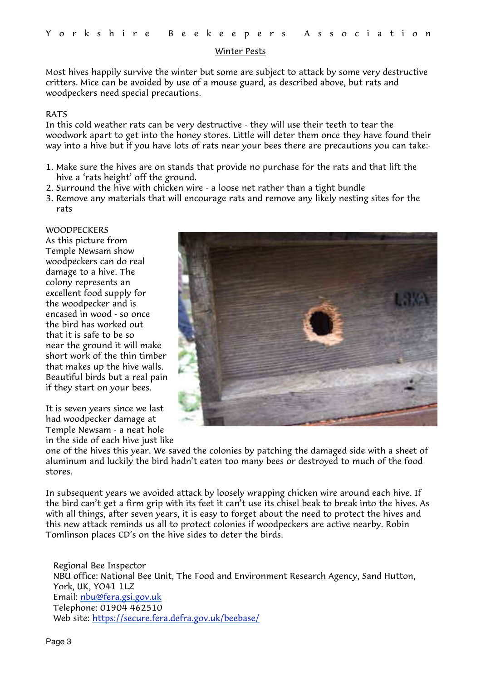#### Winter Pests

Most hives happily survive the winter but some are subject to attack by some very destructive critters. Mice can be avoided by use of a mouse guard, as described above, but rats and woodpeckers need special precautions.

#### RATS

In this cold weather rats can be very destructive - they will use their teeth to tear the woodwork apart to get into the honey stores. Little will deter them once they have found their way into a hive but if you have lots of rats near your bees there are precautions you can take:-

- 1. Make sure the hives are on stands that provide no purchase for the rats and that lift the hive a 'rats height' off the ground.
- 2. Surround the hive with chicken wire a loose net rather than a tight bundle
- 3. Remove any materials that will encourage rats and remove any likely nesting sites for the rats

#### WOODPECKERS

As this picture from Temple Newsam show woodpeckers can do real damage to a hive. The colony represents an excellent food supply for the woodpecker and is encased in wood - so once the bird has worked out that it is safe to be so near the ground it will make short work of the thin timber that makes up the hive walls. Beautiful birds but a real pain if they start on your bees.

It is seven years since we last had woodpecker damage at Temple Newsam - a neat hole in the side of each hive just like



one of the hives this year. We saved the colonies by patching the damaged side with a sheet of aluminum and luckily the bird hadn't eaten too many bees or destroyed to much of the food stores.

In subsequent years we avoided attack by loosely wrapping chicken wire around each hive. If the bird can't get a firm grip with its feet it can't use its chisel beak to break into the hives. As with all things, after seven years, it is easy to forget about the need to protect the hives and this new attack reminds us all to protect colonies if woodpeckers are active nearby. Robin Tomlinson places CD's on the hive sides to deter the birds.

Regional Bee Inspector NBU office: National Bee Unit, The Food and Environment Research Agency, Sand Hutton, York, UK, YO41 1LZ Email: [nbu@fera.gsi.gov.uk](mailto:nbu@fera.gsi.gov.uk) Telephone: 01904 462510 Web site:<https://secure.fera.defra.gov.uk/beebase/>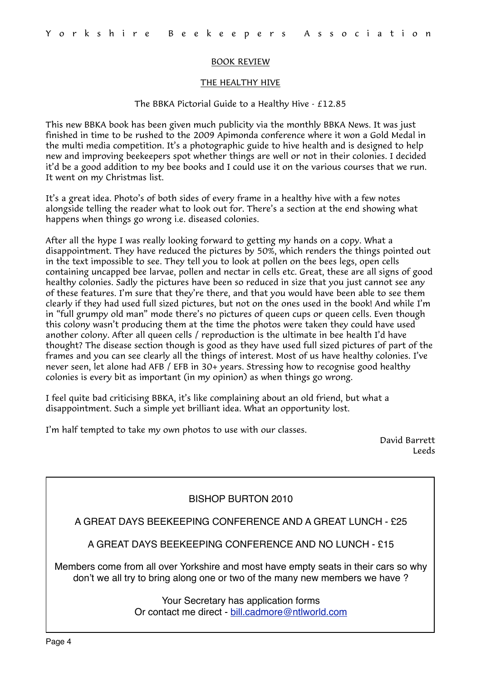#### BOOK REVIEW

#### THE HEALTHY HIVE

#### The BBKA Pictorial Guide to a Healthy Hive - £12.85

This new BBKA book has been given much publicity via the monthly BBKA News. It was just finished in time to be rushed to the 2009 Apimonda conference where it won a Gold Medal in the multi media competition. It's a photographic guide to hive health and is designed to help new and improving beekeepers spot whether things are well or not in their colonies. I decided it'd be a good addition to my bee books and I could use it on the various courses that we run. It went on my Christmas list.

It's a great idea. Photo's of both sides of every frame in a healthy hive with a few notes alongside telling the reader what to look out for. There's a section at the end showing what happens when things go wrong i.e. diseased colonies.

After all the hype I was really looking forward to getting my hands on a copy. What a disappointment. They have reduced the pictures by 50%, which renders the things pointed out in the text impossible to see. They tell you to look at pollen on the bees legs, open cells containing uncapped bee larvae, pollen and nectar in cells etc. Great, these are all signs of good healthy colonies. Sadly the pictures have been so reduced in size that you just cannot see any of these features. I'm sure that they're there, and that you would have been able to see them clearly if they had used full sized pictures, but not on the ones used in the book! And while I'm in "full grumpy old man" mode there's no pictures of queen cups or queen cells. Even though this colony wasn't producing them at the time the photos were taken they could have used another colony. After all queen cells / reproduction is the ultimate in bee health I'd have thought? The disease section though is good as they have used full sized pictures of part of the frames and you can see clearly all the things of interest. Most of us have healthy colonies. I've never seen, let alone had AFB / EFB in 30+ years. Stressing how to recognise good healthy colonies is every bit as important (in my opinion) as when things go wrong.

I feel quite bad criticising BBKA, it's like complaining about an old friend, but what a disappointment. Such a simple yet brilliant idea. What an opportunity lost.

I'm half tempted to take my own photos to use with our classes.

David Barrett Leeds

| BISHOP BURTON 2010                                                                                                                                                 |
|--------------------------------------------------------------------------------------------------------------------------------------------------------------------|
| A GREAT DAYS BEEKEEPING CONFERENCE AND A GREAT LUNCH - £25                                                                                                         |
| A GREAT DAYS BEEKEEPING CONFERENCE AND NO LUNCH - £15                                                                                                              |
| Members come from all over Yorkshire and most have empty seats in their cars so why<br>don't we all try to bring along one or two of the many new members we have? |
| Your Secretary has application forms<br>Or contact me direct - bill.cadmore@ntlworld.com                                                                           |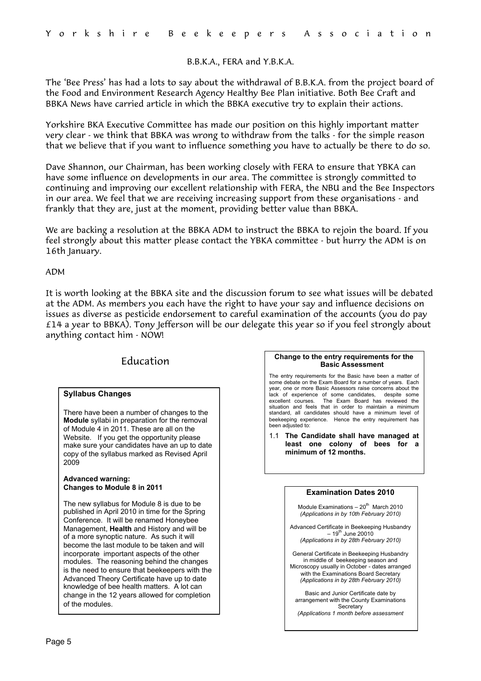#### B.B.K.A., FERA and Y.B.K.A.

The 'Bee Press' has had a lots to say about the withdrawal of B.B.K.A. from the project board of the Food and Environment Research Agency Healthy Bee Plan initiative. Both Bee Craft and BBKA News have carried article in which the BBKA executive try to explain their actions.

Yorkshire BKA Executive Committee has made our position on this highly important matter very clear - we think that BBKA was wrong to withdraw from the talks - for the simple reason that we believe that if you want to influence something you have to actually be there to do so.

Dave Shannon, our Chairman, has been working closely with FERA to ensure that YBKA can have some influence on developments in our area. The committee is strongly committed to continuing and improving our excellent relationship with FERA, the NBU and the Bee Inspectors in our area. We feel that we are receiving increasing support from these organisations - and frankly that they are, just at the moment, providing better value than BBKA.

We are backing a resolution at the BBKA ADM to instruct the BBKA to rejoin the board. If you feel strongly about this matter please contact the YBKA committee - but hurry the ADM is on 16th January.

#### ADM

It is worth looking at the BBKA site and the discussion forum to see what issues will be debated at the ADM. As members you each have the right to have your say and influence decisions on issues as diverse as pesticide endorsement to careful examination of the accounts (you do pay £14 a year to BBKA). Tony Jefferson will be our delegate this year so if you feel strongly about anything contact him - NOW!

# Education

#### **Syllabus Changes**

There have been a number of changes to the **Module** syllabi in preparation for the removal of Module 4 in 2011. These are all on the Website. If you get the opportunity please make sure your candidates have an up to date copy of the syllabus marked as Revised April 2009

#### **Advanced warning: Changes to Module 8 in 2011**

The new syllabus for Module 8 is due to be published in April 2010 in time for the Spring Conference. It will be renamed Honeybee Management, **Health** and History and will be of a more synoptic nature. As such it will become the last module to be taken and will incorporate important aspects of the other modules. The reasoning behind the changes is the need to ensure that beekeepers with the Advanced Theory Certificate have up to date knowledge of bee health matters. A lot can change in the 12 years allowed for completion of the modules.

#### **Change to the entry requirements for the Basic Assessment**

The entry requirements for the Basic have been a matter of some debate on the Exam Board for a number of years. Each year, one or more Basic Assessors raise concerns about the lack of experience of some candidates, despite some of experience of some candidates, excellent courses. The Exam Board has reviewed the situation and feels that in order to maintain a minimum standard, all candidates should have a minimum level of beekeeping experience. Hence the entry requirement has been adjusted to:

1.1 **The Candidate shall have managed at least one colony of bees for a minimum of 12 months.**

#### **Examination Dates 2010**

Module Examinations  $-20^{th}$  March 2010 *(Applications in by 10th February 2010)*

Advanced Certificate in Beekeeping Husbandry  $-19^{th}$  June 20010 *(Applications in by 28th February 2010)*

General Certificate in Beekeeping Husbandry in middle of beekeeping season and Microscopy usually in October - dates arranged with the Examinations Board Secretary *(Applications in by 28th February 2010)*

Basic and Junior Certificate date by arrangement with the County Examinations Secretary

*(Applications 1 month before assessment*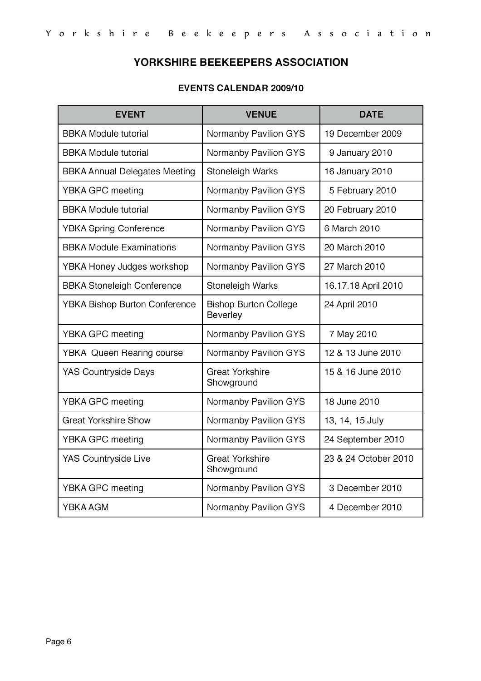# YORKSHIRE BEEKEEPERS ASSOCIATION

# **EVENTS CALENDAR 2009/10**

| <b>EVENT</b>                         | <b>VENUE</b>                             | <b>DATE</b>          |
|--------------------------------------|------------------------------------------|----------------------|
| <b>BBKA Module tutorial</b>          | Normanby Pavilion GYS                    | 19 December 2009     |
| <b>BBKA Module tutorial</b>          | Normanby Pavilion GYS                    | 9 January 2010       |
| <b>BBKA Annual Delegates Meeting</b> | Stoneleigh Warks                         | 16 January 2010      |
| YBKA GPC meeting                     | Normanby Pavilion GYS                    | 5 February 2010      |
| <b>BBKA Module tutorial</b>          | Normanby Pavilion GYS                    | 20 February 2010     |
| <b>YBKA Spring Conference</b>        | Normanby Pavilion GYS                    | 6 March 2010         |
| <b>BBKA Module Examinations</b>      | Normanby Pavilion GYS                    | 20 March 2010        |
| YBKA Honey Judges workshop           | Normanby Pavilion GYS                    | 27 March 2010        |
| <b>BBKA Stoneleigh Conference</b>    | Stoneleigh Warks                         | 16,17,18 April 2010  |
| <b>YBKA Bishop Burton Conference</b> | <b>Bishop Burton College</b><br>Beverley | 24 April 2010        |
| YBKA GPC meeting                     | Normanby Pavilion GYS                    | 7 May 2010           |
| <b>YBKA</b> Queen Rearing course     | Normanby Pavilion GYS                    | 12 & 13 June 2010    |
| <b>YAS Countryside Days</b>          | <b>Great Yorkshire</b><br>Showground     | 15 & 16 June 2010    |
| YBKA GPC meeting                     | Normanby Pavilion GYS                    | 18 June 2010         |
| <b>Great Yorkshire Show</b>          | Normanby Pavilion GYS                    | 13, 14, 15 July      |
| YBKA GPC meeting                     | Normanby Pavilion GYS                    | 24 September 2010    |
| YAS Countryside Live                 | <b>Great Yorkshire</b><br>Showground     | 23 & 24 October 2010 |
| YBKA GPC meeting                     | Normanby Pavilion GYS                    | 3 December 2010      |
| YBKA AGM                             | Normanby Pavilion GYS                    | 4 December 2010      |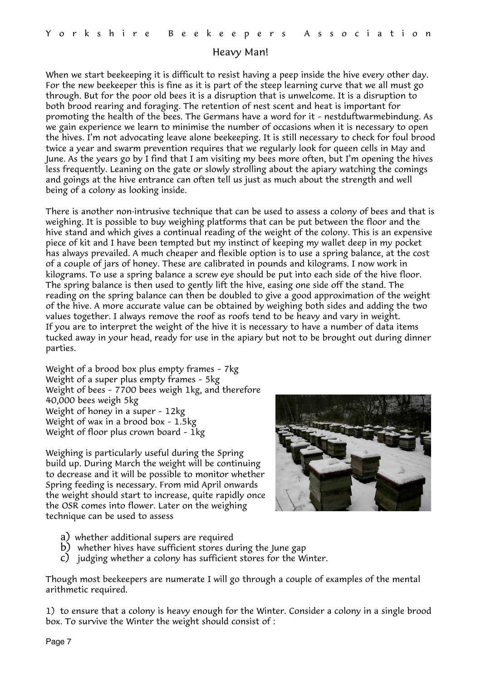## Heavy Man!

When we start beekeeping it is difficult to resist having a peep inside the hive every other day. For the new beekeeper this is fine as it is part of the steep learning curve that we all must go through. But for the poor old bees it is a disruption that is unwelcome. It is a disruption to both brood rearing and foraging. The retention of nest scent and heat is important for promoting the health of the bees. The Germans have a word for it – nestduftwarmebindung. As we gain experience we learn to minimise the number of occasions when it is necessary to open the hives. I'm not advocating leave alone beekeeping. It is still necessary to check for foul brood twice a year and swarm prevention requires that we regularly look for queen cells in May and June. As the years go by I find that I am visiting my bees more often, but I'm opening the hives less frequently. Leaning on the gate or slowly strolling about the apiary watching the comings and goings at the hive entrance can often tell us just as much about the strength and well being of a colony as looking inside.

There is another non-intrusive technique that can be used to assess a colony of bees and that is weighing. It is possible to buy weighing platforms that can be put between the floor and the hive stand and which gives a continual reading of the weight of the colony. This is an expensive piece of kit and I have been tempted but my instinct of keeping my wallet deep in my pocket has always prevailed. A much cheaper and flexible option is to use a spring balance, at the cost of a couple of jars of honey. These are calibrated in pounds and kilograms. I now work in kilograms. To use a spring balance a screw eye should be put into each side of the hive floor. The spring balance is then used to gently lift the hive, easing one side off the stand. The reading on the spring balance can then be doubled to give a good approximation of the weight of the hive. A more accurate value can be obtained by weighing both sides and adding the two values together. I always remove the roof as roofs tend to be heavy and vary in weight. If you are to interpret the weight of the hive it is necessary to have a number of data items tucked away in your head, ready for use in the apiary but not to be brought out during dinner parties.

Weight of a brood box plus empty frames – 7kg Weight of a super plus empty frames – 5kg Weight of bees – 7700 bees weigh 1kg, and therefore 40,000 bees weigh 5kg Weight of honey in a super – 12kg Weight of wax in a brood box – 1.5kg Weight of floor plus crown board – 1kg

Weighing is particularly useful during the Spring build up. During March the weight will be continuing to decrease and it will be possible to monitor whether Spring feeding is necessary. From mid April onwards the weight should start to increase, quite rapidly once the OSR comes into flower. Later on the weighing technique can be used to assess



- a) whether additional supers are required
- b) whether hives have sufficient stores during the June gap
- c) judging whether a colony has sufficient stores for the Winter.

Though most beekeepers are numerate I will go through a couple of examples of the mental arithmetic required.

1) to ensure that a colony is heavy enough for the Winter. Consider a colony in a single brood box. To survive the Winter the weight should consist of :